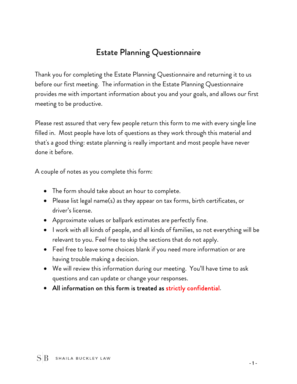# Estate Planning Questionnaire

Thank you for completing the Estate Planning Questionnaire and returning it to us before our first meeting. The information in the Estate Planning Questionnaire provides me with important information about you and your goals, and allows our first meeting to be productive.

Please rest assured that very few people return this form to me with every single line filled in. Most people have lots of questions as they work through this material and that's a good thing: estate planning is really important and most people have never done it before.

A couple of notes as you complete this form:

- The form should take about an hour to complete.
- Please list legal name(s) as they appear on tax forms, birth certificates, or driver's license.
- Approximate values or ballpark estimates are perfectly fine.
- I work with all kinds of people, and all kinds of families, so not everything will be relevant to you. Feel free to skip the sections that do not apply.
- Feel free to leave some choices blank if you need more information or are having trouble making a decision.
- We will review this information during our meeting. You'll have time to ask questions and can update or change your responses.
- All information on this form is treated as strictly confidential.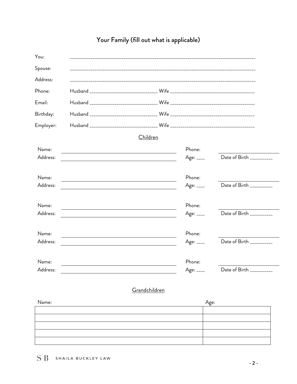| You:              |                                                                                                                                                                                    |                              |                           |
|-------------------|------------------------------------------------------------------------------------------------------------------------------------------------------------------------------------|------------------------------|---------------------------|
| Spouse:           |                                                                                                                                                                                    |                              |                           |
| Address:          |                                                                                                                                                                                    |                              |                           |
| Phone:            |                                                                                                                                                                                    |                              |                           |
| Email:            |                                                                                                                                                                                    |                              |                           |
| Birthday:         |                                                                                                                                                                                    |                              |                           |
| Employer:         |                                                                                                                                                                                    |                              |                           |
|                   | Children                                                                                                                                                                           |                              |                           |
| Name:             |                                                                                                                                                                                    | Phone:                       |                           |
| Address:          |                                                                                                                                                                                    | Age: $\frac{1}{2}$           | Date of Birth ___________ |
|                   |                                                                                                                                                                                    |                              |                           |
| Name:<br>Address: | <u> 1980 - Johann Barbara, martxa alemaniar amerikan a</u><br><u> 1980 - Johann Barbara, martin amerikan basal dan basal dan basal dan basal dan basal dan basal dan basal dan</u> | Phone:<br>Age: $\frac{1}{2}$ | Date of Birth ___________ |
| Name:             |                                                                                                                                                                                    | Phone:                       |                           |
| Address:          |                                                                                                                                                                                    | Age: ____                    | Date of Birth __________  |
| Name:             |                                                                                                                                                                                    | Phone:                       |                           |
| Address:          |                                                                                                                                                                                    | Age: $_{---}$                | Date of Birth ___________ |
| Name:             |                                                                                                                                                                                    | Phone:                       |                           |
| Address:          |                                                                                                                                                                                    | Age: ____                    | Date of Birth ___________ |

# Your Family (fill out what is applicable)

## Grandchildren

| Name: | Age: |
|-------|------|
|       |      |
|       |      |
|       |      |
|       |      |
|       |      |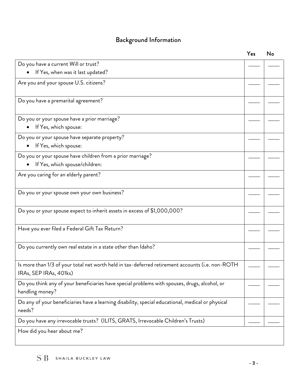# Background Information

|                                                                                                                            | Yes | No |
|----------------------------------------------------------------------------------------------------------------------------|-----|----|
| Do you have a current Will or trust?                                                                                       |     |    |
| If Yes, when was it last updated?                                                                                          |     |    |
| Are you and your spouse U.S. citizens?                                                                                     |     |    |
| Do you have a premarital agreement?                                                                                        |     |    |
| Do you or your spouse have a prior marriage?                                                                               |     |    |
| If Yes, which spouse:                                                                                                      |     |    |
| Do you or your spouse have separate property?                                                                              |     |    |
| If Yes, which spouse:                                                                                                      |     |    |
| Do you or your spouse have children from a prior marriage?                                                                 |     |    |
| If Yes, which spouse/children:                                                                                             |     |    |
| Are you caring for an elderly parent?                                                                                      |     |    |
| Do you or your spouse own your own business?                                                                               |     |    |
| Do you or your spouse expect to inherit assets in excess of \$1,000,000?                                                   |     |    |
| Have you ever filed a Federal Gift Tax Return?                                                                             |     |    |
| Do you currently own real estate in a state other than Idaho?                                                              |     |    |
| Is more than 1/3 of your total net worth held in tax-deferred retirement accounts (i.e. non-ROTH<br>IRAs, SEP IRAs, 401ks) |     |    |
| Do you think any of your beneficiaries have special problems with spouses, drugs, alcohol, or<br>handling money?           |     |    |
| Do any of your beneficiaries have a learning disability, special educational, medical or physical<br>needs?                |     |    |
| Do you have any irrevocable trusts? (ILITS, GRATS, Irrevocable Children's Trusts)                                          |     |    |
| How did you hear about me?                                                                                                 |     |    |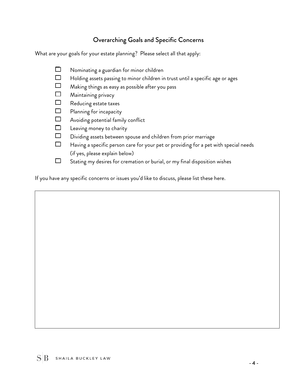## Overarching Goals and Specific Concerns

What are your goals for your estate planning? Please select all that apply:

| $\Box$ | Nominating a guardian for minor children                                             |
|--------|--------------------------------------------------------------------------------------|
| $\Box$ | Holding assets passing to minor children in trust until a specific age or ages       |
| $\Box$ | Making things as easy as possible after you pass                                     |
| $\Box$ | Maintaining privacy                                                                  |
| $\Box$ | Reducing estate taxes                                                                |
| $\Box$ | Planning for incapacity                                                              |
| $\Box$ | Avoiding potential family conflict                                                   |
| $\Box$ | Leaving money to charity                                                             |
| $\Box$ | Dividing assets between spouse and children from prior marriage                      |
| $\Box$ | Having a specific person care for your pet or providing for a pet with special needs |
|        | (if yes, please explain below)                                                       |
| $\Box$ | Stating my desires for cremation or burial, or my final disposition wishes           |
|        |                                                                                      |

If you have any specific concerns or issues you'd like to discuss, please list these here.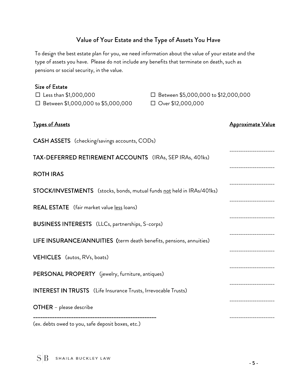## Value of Your Estate and the Type of Assets You Have

To design the best estate plan for you, we need information about the value of your estate and the type of assets you have. Please do not include any benefits that terminate on death, such as pensions or social security, in the value.

| Size of Estate<br>$\Box$ Less than \$1,000,000                         | $\Box$ Between \$5,000,000 to \$12,000,000 |                          |
|------------------------------------------------------------------------|--------------------------------------------|--------------------------|
| $\Box$ Between \$1,000,000 to \$5,000,000                              | $\Box$ Over \$12,000,000                   |                          |
| <b>Types of Assets</b>                                                 |                                            | <b>Approximate Value</b> |
| <b>CASH ASSETS</b> (checking/savings accounts, CODs)                   |                                            |                          |
| TAX-DEFERRED RETIREMENT ACCOUNTS (IRAs, SEP IRAs, 401ks)               |                                            |                          |
| <b>ROTH IRAS</b>                                                       |                                            |                          |
| STOCK/INVESTMENTS (stocks, bonds, mutual funds not held in IRAs/401ks) |                                            | ________________         |
| <b>REAL ESTATE</b> (fair market value less loans)                      |                                            |                          |
| BUSINESS INTERESTS (LLCs, partnerships, S-corps)                       |                                            |                          |
| LIFE INSURANCE/ANNUITIES (term death benefits, pensions, annuities)    |                                            | ------------------       |
| VEHICLES (autos, RVs, boats)                                           |                                            |                          |
| PERSONAL PROPERTY (jewelry, furniture, antiques)                       |                                            |                          |
| <b>INTEREST IN TRUSTS</b> (Life Insurance Trusts, Irrevocable Trusts)  |                                            | -------------------      |
| <b>OTHER</b> - please describe                                         |                                            |                          |
|                                                                        |                                            |                          |

(ex. debts owed to you, safe deposit boxes, etc.)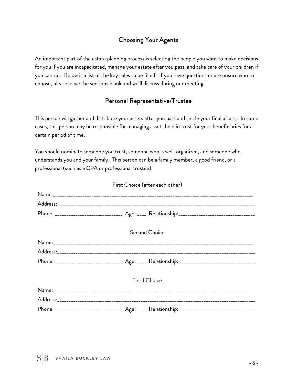## Choosing Your Agents

An important part of the estate planning process is selecting the people you want to make decisions for you if you are incapacitated, manage your estate after you pass, and take care of your children if you cannot. Below is a list of the key roles to be filled. If you have questions or are unsure who to choose, please leave the sections blank and we'll discuss during our meeting.

### Personal Representative/Trustee

This person will gather and distribute your assets after you pass and settle your final affairs. In some cases, this person may be responsible for managing assets held in trust for your beneficiaries for a certain period of time.

You should nominate someone you trust, someone who is well-organized, and someone who understands you and your family. This person can be a family member, a good friend, or a professional (such as a CPA or professional trustee).

#### First Choice (after each other)

| Second Choice       |  |
|---------------------|--|
|                     |  |
|                     |  |
|                     |  |
| <b>Third Choice</b> |  |
|                     |  |
|                     |  |
|                     |  |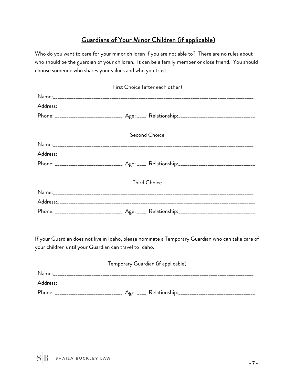# Guardians of Your Minor Children (if applicable)

Who do you want to care for your minor children if you are not able to? There are no rules about who should be the guardian of your children. It can be a family member or close friend. You should choose someone who shares your values and who you trust.

|               | First Choice (after each other) |
|---------------|---------------------------------|
|               |                                 |
|               |                                 |
|               |                                 |
| Second Choice |                                 |
|               |                                 |
|               |                                 |
|               |                                 |
|               | <b>Third Choice</b>             |
|               |                                 |
|               |                                 |
|               |                                 |

If your Guardian does not live in Idaho, please nominate a Temporary Guardian who can take care of your children until your Guardian can travel to Idaho.

#### Temporary Guardian (if applicable)

| Name:<br><u> 1990 - Jan Andrea Stein, amerikan bernama (j. 1980)</u>                                                    |                                               |
|-------------------------------------------------------------------------------------------------------------------------|-----------------------------------------------|
| Address:                                                                                                                |                                               |
| Phone:<br>e de la componente de la componente de la componente de la componente de la componente de la componente de la | Age: ____ Relationship:______________________ |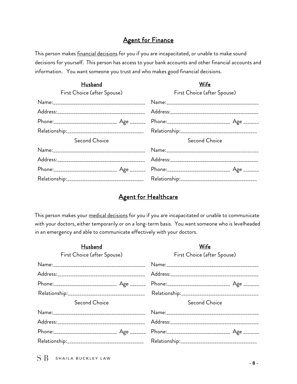## **Agent for Finance**

This person makes financial decisions for you if you are incapacitated, or unable to make sound decisions for yourself. This person has access to your bank accounts and other financial accounts and information. You want someone you trust and who makes good financial decisions.

| Husband                                          | Wife                                                                                          |  |
|--------------------------------------------------|-----------------------------------------------------------------------------------------------|--|
| First Choice (after Spouse)                      | First Choice (after Spouse)                                                                   |  |
|                                                  |                                                                                               |  |
|                                                  |                                                                                               |  |
|                                                  | Phone:____________________________ Age _________ Phone:__________________________ Age _______ |  |
| Relationship:___________________________________ |                                                                                               |  |
| Second Choice                                    | Second Choice                                                                                 |  |
|                                                  |                                                                                               |  |
|                                                  |                                                                                               |  |
|                                                  | Phone:___________________________ Age ________ Phone:___________________________ Age _______  |  |
| Relationship:__________________________________  |                                                                                               |  |

## **Agent for Healthcare**

This person makes your medical decisions for you if you are incapacitated or unable to communicate with your doctors, either temporarily or on a long-term basis. You want someone who is levelheaded in an emergency and able to communicate effectively with your doctors.

| <b>Husband</b>                                   | Wife                                                                                           |  |
|--------------------------------------------------|------------------------------------------------------------------------------------------------|--|
| First Choice (after Spouse)                      | First Choice (after Spouse)                                                                    |  |
|                                                  |                                                                                                |  |
|                                                  |                                                                                                |  |
|                                                  | Phone:___________________________ Age ________ Phone:___________________________ Age _______   |  |
| Relationship:___________________________________ |                                                                                                |  |
| Second Choice                                    | Second Choice                                                                                  |  |
|                                                  |                                                                                                |  |
|                                                  |                                                                                                |  |
|                                                  | Phone:____________________________ Age _________ Phone:___________________________ Age _______ |  |
| Relationship:___________________________________ | Relationship:_________________________________                                                 |  |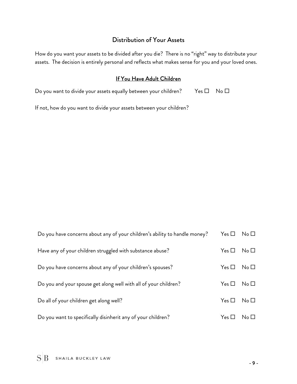#### Distribution of Your Assets

How do you want your assets to be divided after you die? There is no "right" way to distribute your assets. The decision is entirely personal and reflects what makes sense for you and your loved ones.

#### If You Have Adult Children

Do you want to divide your assets equally between your children? Yes  $\square$  No  $\square$ 

If not, how do you want to divide your assets between your children?

| Do you have concerns about any of your children's ability to handle money? | $Yes \Box No \Box$ |                        |
|----------------------------------------------------------------------------|--------------------|------------------------|
| Have any of your children struggled with substance abuse?                  | $Yes \Box No \Box$ |                        |
| Do you have concerns about any of your children's spouses?                 | $Yes \Box No \Box$ |                        |
| Do you and your spouse get along well with all of your children?           | $Yes \Box No \Box$ |                        |
| Do all of your children get along well?                                    | $Yes \Box No \Box$ |                        |
| Do you want to specifically disinherit any of your children?               | Yes $\square$      | $\mathsf{No}\,\square$ |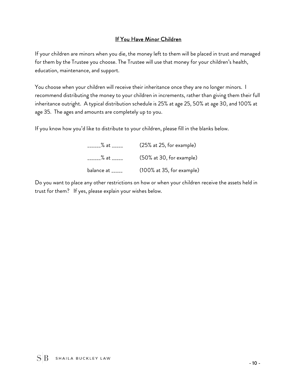#### If You Have Minor Children

If your children are minors when you die, the money left to them will be placed in trust and managed for them by the Trustee you choose. The Trustee will use that money for your children's health, education, maintenance, and support.

You choose when your children will receive their inheritance once they are no longer minors. I recommend distributing the money to your children in increments, rather than giving them their full inheritance outright. A typical distribution schedule is 25% at age 25, 50% at age 30, and 100% at age 35. The ages and amounts are completely up to you.

If you know how you'd like to distribute to your children, please fill in the blanks below.

| $\frac{9}{2}$ at $\frac{1}{2}$ | (25% at 25, for example)     |
|--------------------------------|------------------------------|
| $\%$ at $_{-}$                 | (50% at 30, for example)     |
| balance at _____               | $(100\%$ at 35, for example) |

Do you want to place any other restrictions on how or when your children receive the assets held in trust for them? If yes, please explain your wishes below.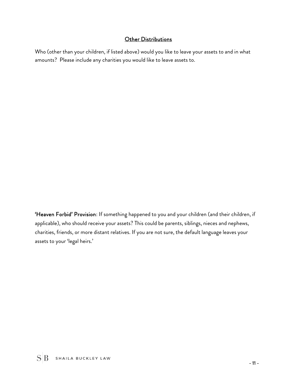#### **Other Distributions**

Who (other than your children, if listed above) would you like to leave your assets to and in what amounts? Please include any charities you would like to leave assets to.

'Heaven Forbid' Provision: If something happened to you and your children (and their children, if applicable), who should receive your assets? This could be parents, siblings, nieces and nephews, charities, friends, or more distant relatives. If you are not sure, the default language leaves your assets to your 'legal heirs.'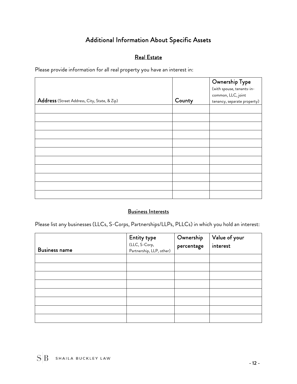# Additional Information About Specific Assets

#### Real Estate

Please provide information for all real property you have an interest in:

|                                              |        | Ownership Type              |
|----------------------------------------------|--------|-----------------------------|
|                                              |        | (with spouse, tenants-in-   |
|                                              |        | common, LLC, joint          |
| Address (Street Address, City, State, & Zip) | County | tenancy, separate property) |
|                                              |        |                             |
|                                              |        |                             |
|                                              |        |                             |
|                                              |        |                             |
|                                              |        |                             |
|                                              |        |                             |
|                                              |        |                             |
|                                              |        |                             |
|                                              |        |                             |
|                                              |        |                             |
|                                              |        |                             |

#### Business Interests

Please list any businesses (LLCs, S-Corps, Partnerships/LLPs, PLLCs) in which you hold an interest:

|                      |                                                          | Ownership  | Value of your |
|----------------------|----------------------------------------------------------|------------|---------------|
| <b>Business name</b> | Entity type<br>(LLC, S-Corp,<br>Partnership, LLP, other) | percentage | interest      |
|                      |                                                          |            |               |
|                      |                                                          |            |               |
|                      |                                                          |            |               |
|                      |                                                          |            |               |
|                      |                                                          |            |               |
|                      |                                                          |            |               |
|                      |                                                          |            |               |
|                      |                                                          |            |               |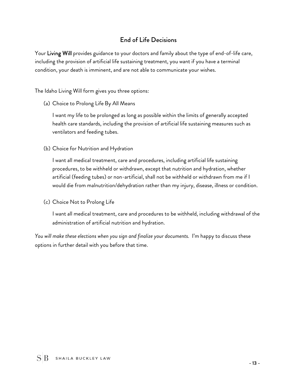## End of Life Decisions

Your Living Will provides guidance to your doctors and family about the type of end-of-life care, including the provision of artificial life sustaining treatment, you want if you have a terminal condition, your death is imminent, and are not able to communicate your wishes.

The Idaho Living Will form gives you three options:

(a) Choice to Prolong Life By All Means

I want my life to be prolonged as long as possible within the limits of generally accepted health care standards, including the provision of artificial life sustaining measures such as ventilators and feeding tubes.

(b) Choice for Nutrition and Hydration

I want all medical treatment, care and procedures, including artificial life sustaining procedures, to be withheld or withdrawn, except that nutrition and hydration, whether artificial (feeding tubes) or non-artificial, shall not be withheld or withdrawn from me if I would die from malnutrition/dehydration rather than my injury, disease, illness or condition.

(c) Choice Not to Prolong Life

I want all medical treatment, care and procedures to be withheld, including withdrawal of the administration of artificial nutrition and hydration.

*You will make these elections when you sign and finalize your documents.* I'm happy to discuss these options in further detail with you before that time.